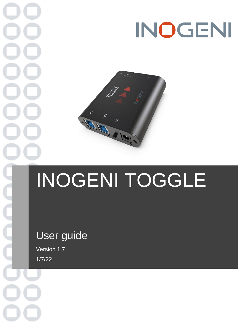# INOGENI



## INOGENI TOGGLE

## User guide

Version 1.7 1/7/22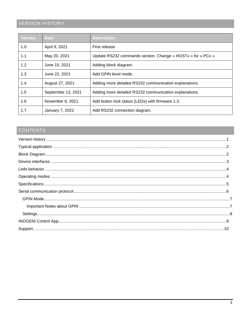## <span id="page-1-0"></span>**VERSION HISTORY**

| <b>Version</b> | <b>Date</b>        | <b>Description</b>                                           |
|----------------|--------------------|--------------------------------------------------------------|
| 1.0            | April 9, 2021      | First release                                                |
| 1.1            | May 20, 2021       | Update RS232 commands section. Change « HOSTx » for « PCx ». |
| 1.2            | June 15, 2021      | Adding block diagram.                                        |
| 1.3            | June 22, 2021      | Add GPIN level mode.                                         |
| 1.4            | August 27, 2021    | Adding more detailed RS232 communication explanations.       |
| 1.5            | September 13, 2021 | Adding more detailed RS232 communication explanations.       |
| 1.6            | November 8, 2021   | Add button lock status (LEDs) with firmware 1.3.             |
| 1.7            | January 7, 2022    | Add RS232 connection diagram.                                |

## CONTENTS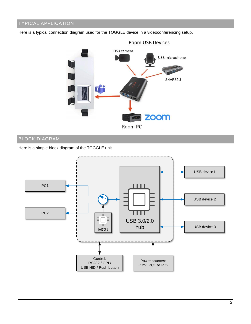## <span id="page-2-0"></span>TYPICAL APPLICATION

Here is a typical connection diagram used for the TOGGLE device in a videoconferencing setup.



## <span id="page-2-1"></span>BLOCK DIAGRAM

Here is a simple block diagram of the TOGGLE unit.

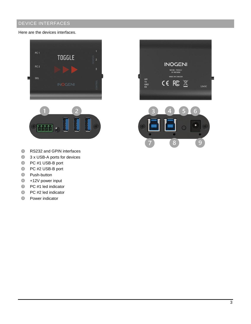## <span id="page-3-0"></span>DEVICE INTERFACES

Here are the devices interfaces.





- $\bullet$ RS232 and GPIN interfaces
- **3 x USB-A ports for devices**
- **B** PC #1 USB-B port
- **C** PC #2 USB-B port
- **S** Push-button
- +12V power input
- **PC** #1 led indicator
- $\odot$ PC #2 led indicator
- $\bullet$ Power indicator



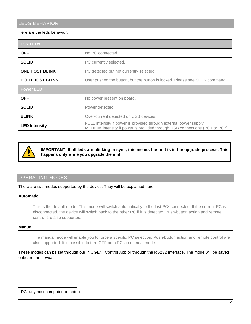## <span id="page-4-0"></span>LEDS BEHAVIOR

#### Here are the leds behavior:

| <b>PCx LEDs</b>        |                                                                                                                                                   |  |
|------------------------|---------------------------------------------------------------------------------------------------------------------------------------------------|--|
| <b>OFF</b>             | No PC connected.                                                                                                                                  |  |
| <b>SOLID</b>           | PC currently selected.                                                                                                                            |  |
| <b>ONE HOST BLINK</b>  | PC detected but not currently selected.                                                                                                           |  |
| <b>BOTH HOST BLINK</b> | User pushed the button, but the button is locked. Please see SCLK command.                                                                        |  |
| <b>Power LED</b>       |                                                                                                                                                   |  |
| <b>OFF</b>             | No power present on board.                                                                                                                        |  |
| <b>SOLID</b>           | Power detected.                                                                                                                                   |  |
| <b>BLINK</b>           | Over-current detected on USB devices.                                                                                                             |  |
| <b>LED Intensity</b>   | FULL intensity if power is provided through external power supply.<br>MEDIUM intensity if power is provided through USB connections (PC1 or PC2). |  |



**IMPORTANT: If all leds are blinking in sync, this means the unit is in the upgrade process. This happens only while you upgrade the unit.**

### <span id="page-4-1"></span>OPERATING MODES

There are two modes supported by the device. They will be explained here.

#### **Automatic**

This is the default mode. This mode will switch automatically to the last PC<sup>1</sup> connected. If the current PC is disconnected, the device will switch back to the other PC if it is detected. Push-button action and remote control are also supported.

#### **Manual**

The manual mode will enable you to force a specific PC selection. Push-button action and remote control are also supported. It is possible to turn OFF both PCs in manual mode.

These modes can be set through our INOGENI Control App or through the RS232 interface. The mode will be saved onboard the device.

<sup>1</sup> PC: any host computer or laptop.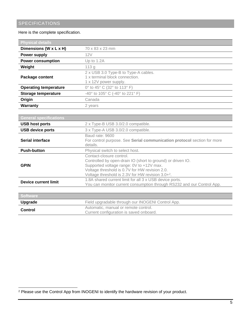<span id="page-5-0"></span>Here is the complete specification.

| <b>Physical details</b>      |                                                                                                 |
|------------------------------|-------------------------------------------------------------------------------------------------|
| Dimensions (W x L x H)       | 70 x 83 x 23 mm                                                                                 |
| <b>Power supply</b>          | 12V                                                                                             |
| <b>Power consumption</b>     | Up to $1.2A$                                                                                    |
| Weight                       | 113g                                                                                            |
| <b>Package content</b>       | 2 x USB 3.0 Type-B to Type-A cables.<br>1 x terminal block connection.<br>1 x 12V power supply. |
| <b>Operating temperature</b> | 0° to 45° C (32° to 113° F)                                                                     |
| <b>Storage temperature</b>   | -40° to 105° C (-40° to 221° F)                                                                 |
| Origin                       | Canada                                                                                          |
| Warranty                     | 2 years                                                                                         |

| <b>General specifications</b> |                                                                                                                                                                                                                                                |  |
|-------------------------------|------------------------------------------------------------------------------------------------------------------------------------------------------------------------------------------------------------------------------------------------|--|
| <b>USB host ports</b>         | 2 x Type-B USB 3.0/2.0 compatible.                                                                                                                                                                                                             |  |
| <b>USB device ports</b>       | 3 x Type-A USB 3.0/2.0 compatible.                                                                                                                                                                                                             |  |
| Serial interface              | Baud rate: 9600<br>For control purpose. See Serial communication protocol section for more<br>details.                                                                                                                                         |  |
| <b>Push-button</b>            | Physical switch to select host.                                                                                                                                                                                                                |  |
| <b>GPIN</b>                   | Contact-closure control.<br>Controlled by open-drain IO (short to ground) or driven IO.<br>Supported voltage range: 0V to +12V max.<br>Voltage threshold is 0.7V for HW revision 2.0.<br>Voltage threshold is $2.3V$ for HW revision $3.0+2$ . |  |
| <b>Device current limit</b>   | 1.8A shared current limit for all 3 x USB device ports.<br>You can monitor current consumption through RS232 and our Control App.                                                                                                              |  |
|                               |                                                                                                                                                                                                                                                |  |
| <b>Software</b>               |                                                                                                                                                                                                                                                |  |
| Upgrade                       | Field upgradable through our INOGENI Control App.                                                                                                                                                                                              |  |
| <b>Control</b>                | Automatic, manual or remote control.                                                                                                                                                                                                           |  |

Current configuration is saved onboard.

<sup>2</sup> Please use the Control App from INOGENI to identify the hardware revision of your product.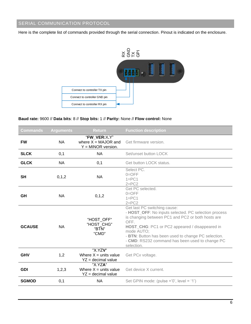## <span id="page-6-0"></span>SERIAL COMMUNICATION PROTOCOL

Here is the complete list of commands provided through the serial connection. Pinout is indicated on the enclosure.



#### **Baud rate:** 9600 // **Data bits**: 8 // **Stop bits:** 1 // **Parity:** None // **Flow control:** None

| Commands      | <b>Arguments</b> | <b>Return</b>                                                 | <b>Function description</b>                                                                                                                                                                                                                                                                                                               |
|---------------|------------------|---------------------------------------------------------------|-------------------------------------------------------------------------------------------------------------------------------------------------------------------------------------------------------------------------------------------------------------------------------------------------------------------------------------------|
| <b>FW</b>     | <b>NA</b>        | "FW VER:X.Y"<br>where $X = MAJOR$ and<br>$Y = MINOR version.$ | Get firmware version.                                                                                                                                                                                                                                                                                                                     |
| <b>SLCK</b>   | 0,1              | <b>NA</b>                                                     | Set/unset button LOCK                                                                                                                                                                                                                                                                                                                     |
| <b>GLCK</b>   | <b>NA</b>        | 0,1                                                           | Get button LOCK status.                                                                                                                                                                                                                                                                                                                   |
| <b>SH</b>     | 0, 1, 2          | <b>NA</b>                                                     | Select PC.<br>$0=$ OFF<br>$1 = PC1$<br>$2 = PC2$                                                                                                                                                                                                                                                                                          |
| GH            | <b>NA</b>        | 0, 1, 2                                                       | Get PC selected.<br>$0=$ OFF<br>$1 = PC1$<br>$2 = PC2$                                                                                                                                                                                                                                                                                    |
| <b>GCAUSE</b> | <b>NA</b>        | "HOST OFF"<br>"HOST CHG"<br>"BTN"<br>"CMD"                    | Get last PC switching cause:<br>- HOST_OFF: No inputs selected. PC selection process<br>is changing between PC1 and PC2 or both hosts are<br>OFF.<br>HOST_CHG: PC1 or PC2 appeared / disappeared in<br>mode AUTO;<br>- BTN: Button has been used to change PC selection.<br>- CMD: RS232 command has been used to change PC<br>selection. |
| <b>GHV</b>    | 1,2              | "X.YZV"<br>Where $X =$ units value<br>$YZ = decimal value$    | Get PCx voltage.                                                                                                                                                                                                                                                                                                                          |
| <b>GDI</b>    | 1,2,3            | "X.YZA"<br>Where $X =$ units value<br>$YZ = decimal value$    | Get device X current.                                                                                                                                                                                                                                                                                                                     |
| <b>SGMOD</b>  | 0,1              | <b>NA</b>                                                     | Set GPIN mode: (pulse ='0', level = '1')                                                                                                                                                                                                                                                                                                  |
|               |                  |                                                               |                                                                                                                                                                                                                                                                                                                                           |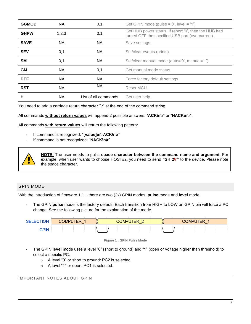| <b>GGMOD</b> | <b>NA</b> | 0,1                  | Get GPIN mode (pulse ='0', level = '1')                                                                   |
|--------------|-----------|----------------------|-----------------------------------------------------------------------------------------------------------|
| <b>GHPW</b>  | 1,2,3     | 0,1                  | Get HUB power status. If report '0', then the HUB had<br>turned OFF the specified USB port (overcurrent). |
| <b>SAVE</b>  | <b>NA</b> | <b>NA</b>            | Save settings.                                                                                            |
| <b>SEV</b>   | 0,1       | NA.                  | Set/clear events (prints).                                                                                |
| <b>SM</b>    | 0,1       | NA.                  | Set/clear manual mode.(auto='0', manual='1')                                                              |
| <b>GM</b>    | <b>NA</b> | 0,1                  | Get manual mode status.                                                                                   |
| <b>DEF</b>   | NA.       | <b>NA</b>            | Force factory default settings                                                                            |
| <b>RST</b>   | <b>NA</b> | NA.                  | Reset MCU.                                                                                                |
| н            | NA.       | List of all commands | Get user help.                                                                                            |

You need to add a carriage return character "\r" at the end of the command string.

#### All commands **without return values** will append 2 possible answers: "**ACK\n\r**" or "**NACK\n\r**".

All commands **with return values** will return the following pattern:

- If command is recognized: "**[value]\n\rACK\n\r**"
- If command is not recognized: "**NACK\n\r**"



**NOTE:** The user needs to put a **space character between the command name and argument**. For example, when user wants to choose HOST#2, you need to send **"SH 2\r"** to the device. Please note the space character.

#### <span id="page-7-0"></span>GPIN MODE

With the introduction of firmware 1.1+, there are two (2x) GPIN modes: **pulse** mode and **level** mode.

- The GPIN **pulse** mode is the factory default. Each transition from HIGH to LOW on GPIN pin will force a PC change. See the following picture for the explanation of the mode.





- The GPIN **level** mode uses a level "0" (short to ground) and "1" (open or voltage higher than threshold) to select a specific PC.
	- o A level "0" or short to ground: PC2 is selected.
	- o A level "1" or open: PC1 is selected.

<span id="page-7-1"></span>IMPORTANT NOTES ABOUT GPIN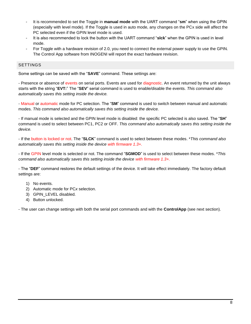- It is recommended to set the Toggle in **manual mode** with the UART command "**sm**" when using the GPIN (especially with level mode). If the Toggle is used in auto mode, any changes on the PCx side will affect the PC selected even if the GPIN level mode is used.
- It is also recommended to lock the button with the UART command "**slck**" when the GPIN is used in level mode.
- For Toggle with a hardware revision of 2.0, you need to connect the external power supply to use the GPIN. The Control App software from INOGENI will report the exact hardware revision.

#### <span id="page-8-0"></span>SETTINGS

Some settings can be saved with the "**SAVE**" command. These settings are:

- Presence or absence of events on serial ports. Events are used for diagnostic. An event returned by the unit always starts with the string "**EVT:**" The "**SEV**" serial command is used to enable/disable the events. *This command also automatically saves this setting inside the device.*

- Manual or automatic mode for PC selection. The "**SM**" command is used to switch between manual and automatic modes. *This command also automatically saves this setting inside the device.*

- If manual mode is selected and the GPIN level mode is disabled: the specific PC selected is also saved. The "**SH**" command is used to select between PC1, PC2 or OFF. *This command also automatically saves this setting inside the device.*

- If the button is locked or not. The "**SLCK**" command is used to select between these modes. \**This command also automatically saves this setting inside the device with firmware 1.3+.*

- If the GPIN level mode is selected or not. The command "**SGMOD**" is used to select between these modes. \**This command also automatically saves this setting inside the device with firmware 1.3+.*

- The "**DEF**" command restores the default settings of the device. It will take effect immediately. The factory default settings are:

- 1) No events.
- 2) Automatic mode for PC*x* selection.
- 3) GPIN LEVEL disabled.
- 4) Button unlocked.

- The user can change settings with both the serial port commands and with the **ControlApp** (see next section).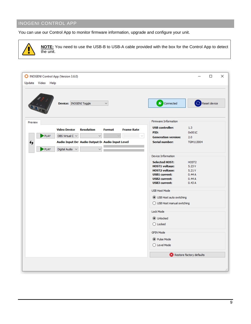## <span id="page-9-0"></span>INOGENI CONTROL APP

You can use our Control App to monitor firmware information, upgrade and configure your unit.



**NOTE:** You need to use the USB-B to USB-A cable provided with the box for the Control App to detect the unit.

| MOGENI Control App (Version 3.6.0)                                             |                                  | ×<br>□                   |
|--------------------------------------------------------------------------------|----------------------------------|--------------------------|
| Update Video Help                                                              |                                  |                          |
| Device: INOGENI Toggle<br>$\checkmark$                                         | ✔<br>Connected                   | Reset device             |
| Preview                                                                        | Firmware Information             |                          |
| <b>Video Device</b><br><b>Resolution</b><br><b>Format</b><br><b>Frame Rate</b> | <b>USB</b> controller:           | 1,3                      |
|                                                                                | PID:                             | 0x001C                   |
| PLAY<br>OBS Virtual C $\sim$<br>$\checkmark$                                   | <b>Generation version:</b>       | 2.0                      |
| Audio Input Dev Audio Output De Audio Input Level<br>↮                         | <b>Serial number:</b>            | TGM113004                |
| PLAY<br>Digital Audio: V<br>✓                                                  |                                  |                          |
|                                                                                | Device Information               |                          |
|                                                                                | <b>Selected HOST:</b>            | HOST <sub>2</sub>        |
|                                                                                | <b>HOST1</b> voltage:            | 5.23V                    |
|                                                                                | <b>HOST2</b> voltage:            | 5.21V                    |
|                                                                                | <b>USB1</b> current:             | 0.44A                    |
|                                                                                | <b>USB2</b> current:             | 0.44A                    |
|                                                                                | <b>USB3 current:</b>             | 0.43A                    |
|                                                                                | <b>USB Host Mode</b>             |                          |
|                                                                                | <b>O</b> USB Host auto switching |                          |
|                                                                                | ◯ USB Host manual switching      |                          |
|                                                                                | Lock Mode                        |                          |
|                                                                                | <b>O</b> Unlocked                |                          |
|                                                                                | $\bigcirc$ Locked                |                          |
|                                                                                | <b>GPIN Mode</b>                 |                          |
|                                                                                |                                  |                          |
|                                                                                | ◉ Pulse Mode                     |                          |
|                                                                                | $\bigcirc$ Level Mode            |                          |
|                                                                                |                                  | Restore factory defaults |
|                                                                                |                                  |                          |
|                                                                                |                                  | i                        |